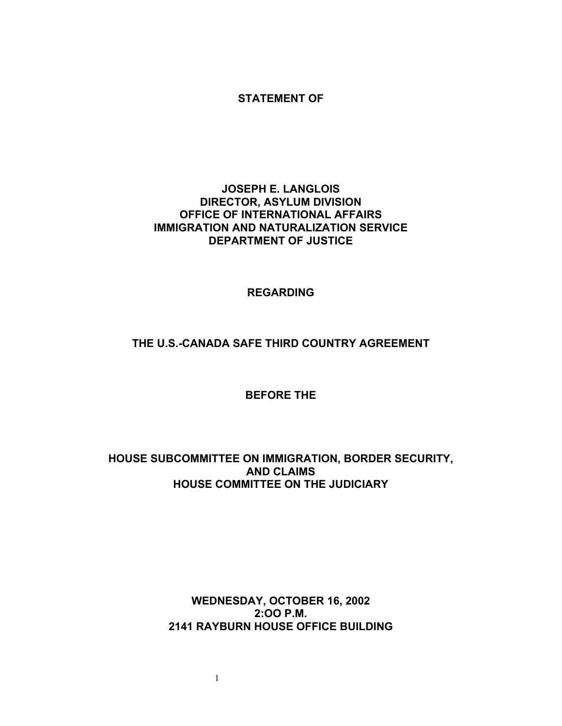#### **STATEMENT OF**

## **JOSEPH E. LANGLOIS DIRECTOR, ASYLUM DIVISION OFFICE OF INTERNATIONAL AFFAIRS IMMIGRATION AND NATURALIZATION SERVICE DEPARTMENT OF JUSTICE**

#### **REGARDING**

# **THE U.S.-CANADA SAFE THIRD COUNTRY AGREEMENT**

## **BEFORE THE**

## **HOUSE SUBCOMMITTEE ON IMMIGRATION, BORDER SECURITY, AND CLAIMS HOUSE COMMITTEE ON THE JUDICIARY**

# **WEDNESDAY, OCTOBER 16, 2002 2:OO P.M. 2141 RAYBURN HOUSE OFFICE BUILDING**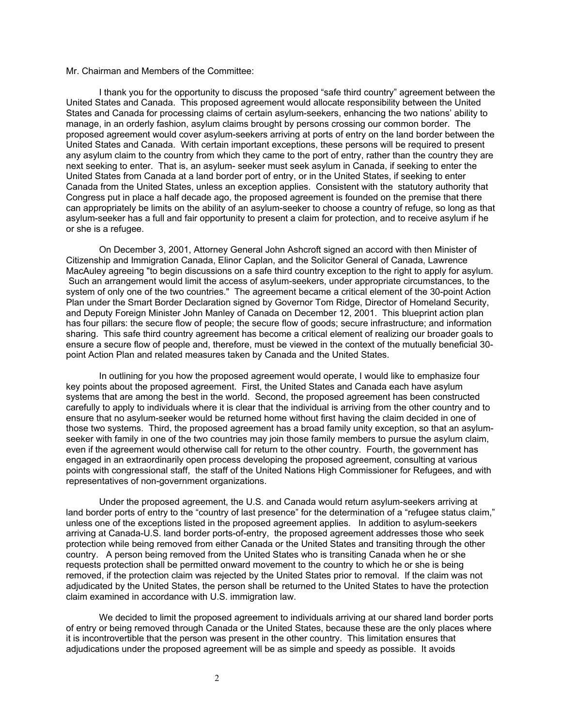#### Mr. Chairman and Members of the Committee:

I thank you for the opportunity to discuss the proposed "safe third country" agreement between the United States and Canada. This proposed agreement would allocate responsibility between the United States and Canada for processing claims of certain asylum-seekers, enhancing the two nations' ability to manage, in an orderly fashion, asylum claims brought by persons crossing our common border. The proposed agreement would cover asylum-seekers arriving at ports of entry on the land border between the United States and Canada. With certain important exceptions, these persons will be required to present any asylum claim to the country from which they came to the port of entry, rather than the country they are next seeking to enter. That is, an asylum- seeker must seek asylum in Canada, if seeking to enter the United States from Canada at a land border port of entry, or in the United States, if seeking to enter Canada from the United States, unless an exception applies. Consistent with the statutory authority that Congress put in place a half decade ago, the proposed agreement is founded on the premise that there can appropriately be limits on the ability of an asylum-seeker to choose a country of refuge, so long as that asylum-seeker has a full and fair opportunity to present a claim for protection, and to receive asylum if he or she is a refugee.

On December 3, 2001, Attorney General John Ashcroft signed an accord with then Minister of Citizenship and Immigration Canada, Elinor Caplan, and the Solicitor General of Canada, Lawrence MacAuley agreeing "to begin discussions on a safe third country exception to the right to apply for asylum. Such an arrangement would limit the access of asylum-seekers, under appropriate circumstances, to the system of only one of the two countries." The agreement became a critical element of the 30-point Action Plan under the Smart Border Declaration signed by Governor Tom Ridge, Director of Homeland Security, and Deputy Foreign Minister John Manley of Canada on December 12, 2001. This blueprint action plan has four pillars: the secure flow of people; the secure flow of goods; secure infrastructure; and information sharing. This safe third country agreement has become a critical element of realizing our broader goals to ensure a secure flow of people and, therefore, must be viewed in the context of the mutually beneficial 30 point Action Plan and related measures taken by Canada and the United States.

In outlining for you how the proposed agreement would operate, I would like to emphasize four key points about the proposed agreement. First, the United States and Canada each have asylum systems that are among the best in the world. Second, the proposed agreement has been constructed carefully to apply to individuals where it is clear that the individual is arriving from the other country and to ensure that no asylum-seeker would be returned home without first having the claim decided in one of those two systems. Third, the proposed agreement has a broad family unity exception, so that an asylumseeker with family in one of the two countries may join those family members to pursue the asylum claim, even if the agreement would otherwise call for return to the other country. Fourth, the government has engaged in an extraordinarily open process developing the proposed agreement, consulting at various points with congressional staff, the staff of the United Nations High Commissioner for Refugees, and with representatives of non-government organizations.

Under the proposed agreement, the U.S. and Canada would return asylum-seekers arriving at land border ports of entry to the "country of last presence" for the determination of a "refugee status claim," unless one of the exceptions listed in the proposed agreement applies. In addition to asylum-seekers arriving at Canada-U.S. land border ports-of-entry, the proposed agreement addresses those who seek protection while being removed from either Canada or the United States and transiting through the other country. A person being removed from the United States who is transiting Canada when he or she requests protection shall be permitted onward movement to the country to which he or she is being removed, if the protection claim was rejected by the United States prior to removal. If the claim was not adjudicated by the United States, the person shall be returned to the United States to have the protection claim examined in accordance with U.S. immigration law.

We decided to limit the proposed agreement to individuals arriving at our shared land border ports of entry or being removed through Canada or the United States, because these are the only places where it is incontrovertible that the person was present in the other country. This limitation ensures that adjudications under the proposed agreement will be as simple and speedy as possible. It avoids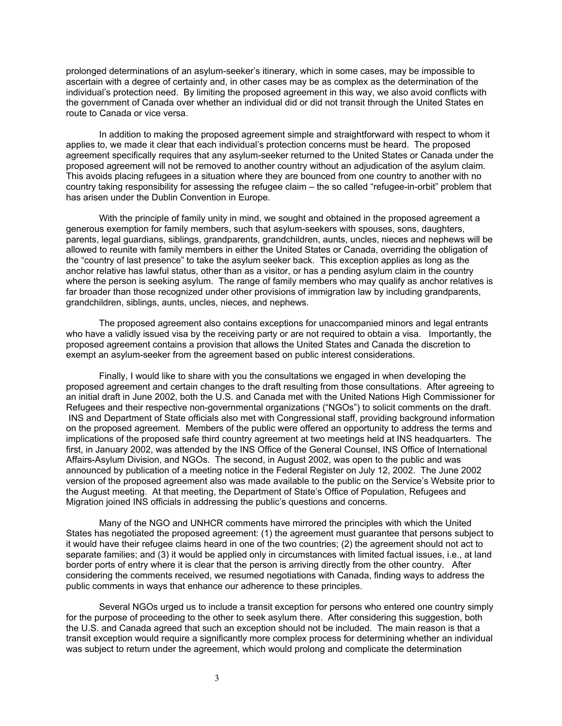prolonged determinations of an asylum-seeker's itinerary, which in some cases, may be impossible to ascertain with a degree of certainty and, in other cases may be as complex as the determination of the individual's protection need. By limiting the proposed agreement in this way, we also avoid conflicts with the government of Canada over whether an individual did or did not transit through the United States en route to Canada or vice versa.

In addition to making the proposed agreement simple and straightforward with respect to whom it applies to, we made it clear that each individual's protection concerns must be heard. The proposed agreement specifically requires that any asylum-seeker returned to the United States or Canada under the proposed agreement will not be removed to another country without an adjudication of the asylum claim. This avoids placing refugees in a situation where they are bounced from one country to another with no country taking responsibility for assessing the refugee claim – the so called "refugee-in-orbit" problem that has arisen under the Dublin Convention in Europe.

With the principle of family unity in mind, we sought and obtained in the proposed agreement a generous exemption for family members, such that asylum-seekers with spouses, sons, daughters, parents, legal guardians, siblings, grandparents, grandchildren, aunts, uncles, nieces and nephews will be allowed to reunite with family members in either the United States or Canada, overriding the obligation of the "country of last presence" to take the asylum seeker back. This exception applies as long as the anchor relative has lawful status, other than as a visitor, or has a pending asylum claim in the country where the person is seeking asylum. The range of family members who may qualify as anchor relatives is far broader than those recognized under other provisions of immigration law by including grandparents, grandchildren, siblings, aunts, uncles, nieces, and nephews.

The proposed agreement also contains exceptions for unaccompanied minors and legal entrants who have a validly issued visa by the receiving party or are not required to obtain a visa. Importantly, the proposed agreement contains a provision that allows the United States and Canada the discretion to exempt an asylum-seeker from the agreement based on public interest considerations.

Finally, I would like to share with you the consultations we engaged in when developing the proposed agreement and certain changes to the draft resulting from those consultations. After agreeing to an initial draft in June 2002, both the U.S. and Canada met with the United Nations High Commissioner for Refugees and their respective non-governmental organizations ("NGOs") to solicit comments on the draft. INS and Department of State officials also met with Congressional staff, providing background information on the proposed agreement. Members of the public were offered an opportunity to address the terms and implications of the proposed safe third country agreement at two meetings held at INS headquarters. The first, in January 2002, was attended by the INS Office of the General Counsel, INS Office of International Affairs-Asylum Division, and NGOs. The second, in August 2002, was open to the public and was announced by publication of a meeting notice in the Federal Register on July 12, 2002. The June 2002 version of the proposed agreement also was made available to the public on the Service's Website prior to the August meeting. At that meeting, the Department of State's Office of Population, Refugees and Migration joined INS officials in addressing the public's questions and concerns.

Many of the NGO and UNHCR comments have mirrored the principles with which the United States has negotiated the proposed agreement: (1) the agreement must guarantee that persons subject to it would have their refugee claims heard in one of the two countries; (2) the agreement should not act to separate families; and (3) it would be applied only in circumstances with limited factual issues, i.e., at land border ports of entry where it is clear that the person is arriving directly from the other country. After considering the comments received, we resumed negotiations with Canada, finding ways to address the public comments in ways that enhance our adherence to these principles.

Several NGOs urged us to include a transit exception for persons who entered one country simply for the purpose of proceeding to the other to seek asylum there. After considering this suggestion, both the U.S. and Canada agreed that such an exception should not be included. The main reason is that a transit exception would require a significantly more complex process for determining whether an individual was subject to return under the agreement, which would prolong and complicate the determination